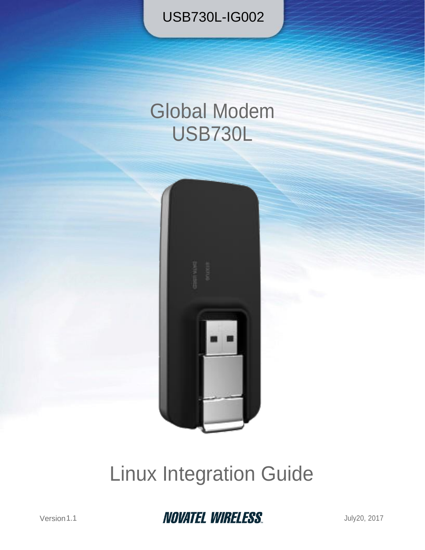USB730L-IG002

# Global Modem USB730L



# Linux Integration Guide



Version1.1 July20, 2017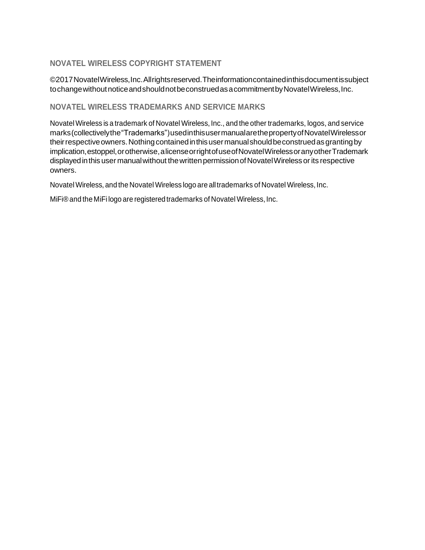#### **NOVATEL WIRELESS COPYRIGHT STATEMENT**

©2017 Novatel Wireless, Inc. All rights reserved. The information contained in this document is subject to change without notice and should not be construed as a commitment by Novatel Wireless, Inc.

#### **NOVATEL WIRELESS TRADEMARKS AND SERVICE MARKS**

Novatel Wireless is a trademark of Novatel Wireless, Inc., and the other trademarks, logos, and service marks(collectivelythe"Trademarks")usedinthisusermanualarethepropertyofNovatelWirelessor their respective owners. Nothing contained in this user manual should be construed as granting by implication, estoppel, or otherwise, a license or right of use of Novatel Wireless or any other Trademark displayed in this user manual without the written permission of Novatel Wireless or its respective owners.

Novatel Wireless, and the Novatel Wireless logo are alltrademarks of Novatel Wireless, Inc.

MiFi®and the MiFi logo are registered trademarks of Novatel Wireless, Inc.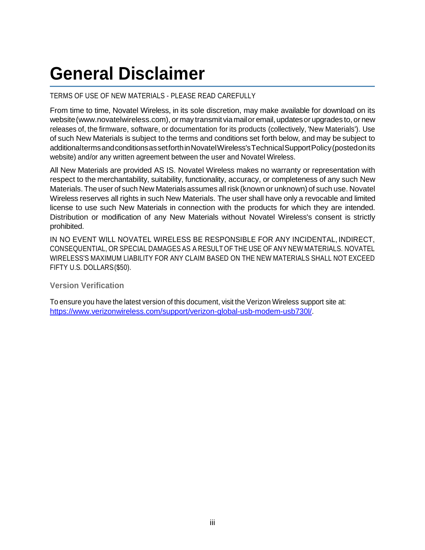## **General Disclaimer**

#### TERMS OF USE OF NEW MATERIALS - PLEASE READ CAREFULLY

From time to time, Novatel Wireless, in its sole discretion, may make available for download on its website (www.novatelwireless.com), or may transmit via mail or email, updates or upgrades to, or new releases of, the firmware, software, or documentation for its products (collectively, 'New Materials'). Use of such New Materials is subject to the terms and conditions set forth below, and may be subject to additionaltermsandconditionsassetforthinNovatelWireless'sTechnicalSupportPolicy(postedonits website) and/or any written agreement between the user and Novatel Wireless.

All New Materials are provided AS IS. Novatel Wireless makes no warranty or representation with respect to the merchantability, suitability, functionality, accuracy, or completeness of any such New Materials.The user of such New Materialsassumes allrisk (known or unknown) of such use. Novatel Wireless reserves all rights in such New Materials. The user shall have only a revocable and limited license to use such New Materials in connection with the products for which they are intended. Distribution or modification of any New Materials without Novatel Wireless's consent is strictly prohibited.

IN NO EVENT WILL NOVATEL WIRELESS BE RESPONSIBLE FOR ANY INCIDENTAL, INDIRECT, CONSEQUENTIAL, OR SPECIAL DAMAGES AS A RESULT OF THE USE OF ANY NEW MATERIALS. NOVATEL WIRELESS'S MAXIMUM LIABILITY FOR ANY CLAIM BASED ON THE NEW MATERIALS SHALL NOT EXCEED FIFTY U.S. DOLLARS(\$50).

#### **Version Verification**

To ensure you have the latest version of this document, visit the Verizon Wireless support site at: [https://www.verizonwireless.com/support/verizon-global-usb-modem-usb730l/.](https://www.verizonwireless.com/support/verizon-global-usb-modem-usb730l/)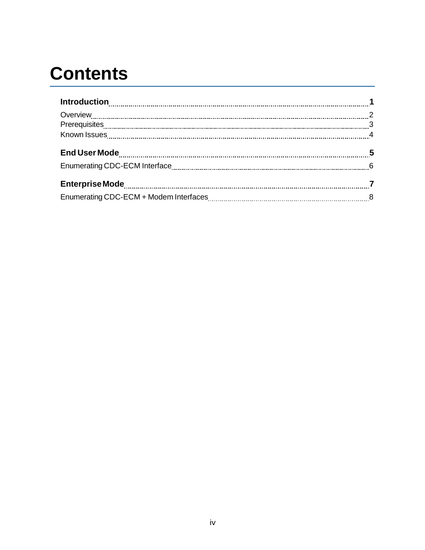# **Contents**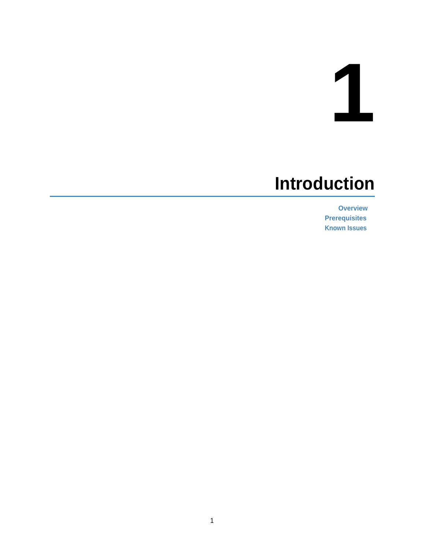# **1**

## <span id="page-4-0"></span>**Introduction**

**[Overview](#page-5-0) [Prerequisites](#page-6-0) [Known Issues](#page-7-0)**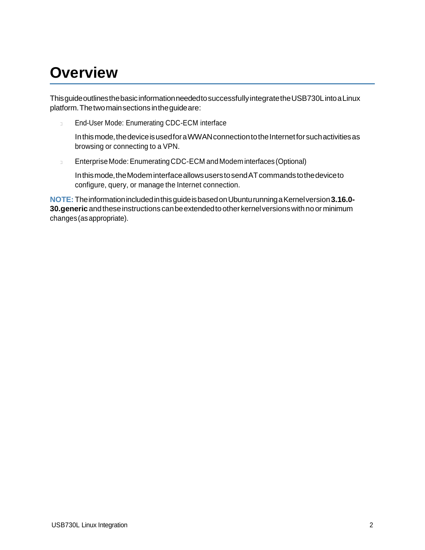## <span id="page-5-0"></span>**Overview**

ThisguideoutlinesthebasicinformationneededtosuccessfullyintegratetheUSB730LintoaLinux platform.Thetwomainsectionsintheguideare:

End-User Mode: Enumerating CDC-ECM interface  $\Box$ 

In this mode, the device is used for a WWAN connection to the Internet for such activities as browsing or connecting to a VPN.

EnterpriseMode:EnumeratingCDC-ECM andModem interfaces (Optional)  $\Box$ 

Inthismode,theModeminterfaceallowsuserstosendATcommandstothedeviceto configure, query, or manage the Internet connection.

**NOTE:** TheinformationincludedinthisguideisbasedonUbunturunningaKernelversion**3.16.0- 30.generic**andtheseinstructions canbeextendedtoother kernelversionswithnoorminimum changes(asappropriate).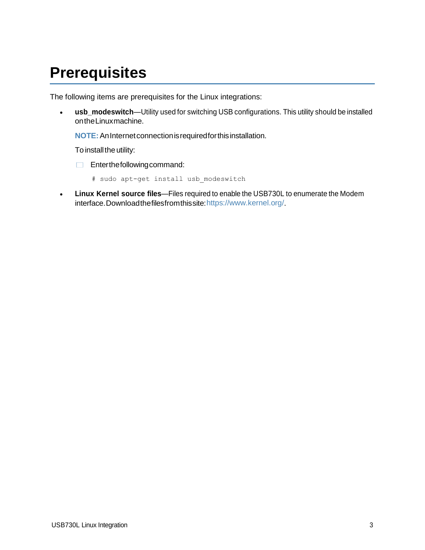### <span id="page-6-0"></span>**Prerequisites**

The following items are prerequisites for the Linux integrations:

 **usb\_modeswitch**—Utility used for switching USB configurations. This utility should be installed ontheLinuxmachine.

**NOTE:**AnInternetconnectionisrequiredforthisinstallation.

To install the utility:

Enterthefollowingcommand:

# sudo apt-get install usb\_modeswitch

 **Linux Kernel source files**—Files required to enable the USB730L to enumerate the Modem interface.Downloadthefilesfromthissite[:https://www.kernel.org/.](https://www.kernel.org/)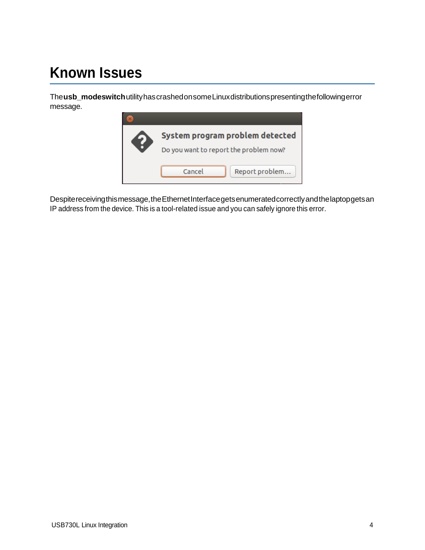## <span id="page-7-0"></span>**Known Issues**

The**usb\_modeswitch**utilityhascrashedonsomeLinuxdistributionspresentingthefollowingerror message.



Despitereceivingthismessage,theEthernetInterfacegetsenumeratedcorrectlyandthelaptopgetsan IP address from the device. This is a tool-related issue and you can safely ignore this error.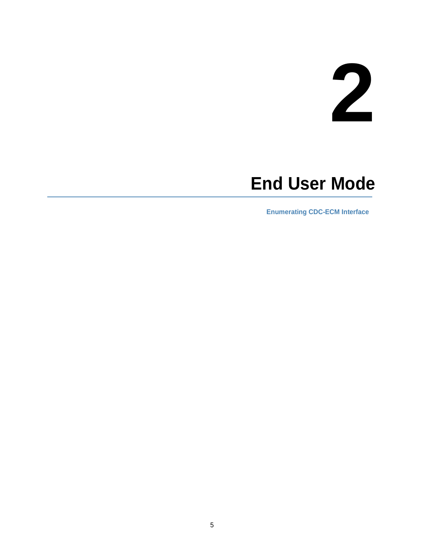# **2**

## <span id="page-8-0"></span>**End User Mode**

**[Enumerating CDC-ECM Interface](#page-9-0)**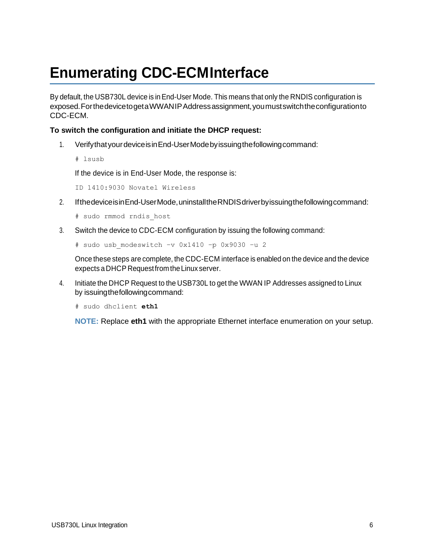## <span id="page-9-0"></span>**Enumerating CDC-ECMInterface**

By default, the USB730L device is inEnd-User Mode. This means that only the RNDIS configuration is exposed.ForthedevicetogetaWWANIPAddressassignment,youmustswitchtheconfigurationto CDC-ECM.

#### **To switch the configuration and initiate the DHCP request:**

- 1. VerifythatyourdeviceisinEnd-UserModebyissuingthefollowingcommand:
	- # lsusb

If the device is in End-User Mode, the response is:

ID 1410:9030 Novatel Wireless

- 2. IfthedeviceisinEnd-UserMode,uninstalltheRNDISdriverbyissuingthefollowingcommand:
	- # sudo rmmod rndis\_host
- 3. Switch the device to CDC-ECM configuration by issuing the following command:

```
# sudo usb_modeswitch –v 0x1410 –p 0x9030 –u 2
```
Once these steps are complete, the CDC-ECM interface is enabled on the device and the device expects a DHCP RequestfromtheLinux server.

4. Initiate the DHCP Request to the USB730L to get the WWAN IP Addresses assigned to Linux by issuingthefollowingcommand:

# sudo dhclient **eth1**

**NOTE:** Replace **eth1** with the appropriate Ethernet interface enumeration on your setup.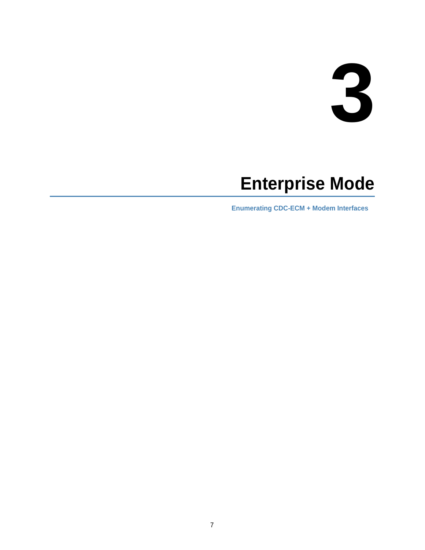# **3**

## <span id="page-10-0"></span>**Enterprise Mode**

**[Enumerating CDC-ECM + Modem Interfaces](#page-11-0)**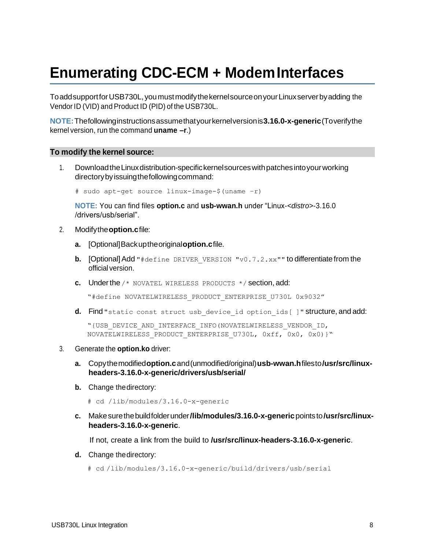## <span id="page-11-0"></span>**Enumerating CDC-ECM + ModemInterfaces**

ToaddsupportforUSB730L,youmustmodifythekernelsourceonyourLinuxserverbyadding the Vendor ID (VID) and Product ID (PID) of the USB730L.

**NOTE:**Thefollowinginstructionsassumethatyourkernelversionis**3.16.0-x-generic**(Toverifythe kernel version, run the command **uname –r**.)

#### **To modify the kernel source:**

1. DownloadtheLinuxdistribution-specifickernelsourceswithpatchesintoyourworking directorybyissuingthefollowingcommand:

```
# sudo apt-get source linux-image-$(uname –r)
```
**NOTE:** You can find files **option.c** and **usb-wwan.h** under "Linux-*<distro>*-3.16.0 /drivers/usb/serial".

- 2. Modifythe**option.c**file:
	- **a.** [Optional]Backuptheoriginal**option.c**file.
	- **b.** [Optional] Add "#define DRIVER VERSION "v0.7.2.xx"" to differentiate from the official version.
	- **c.** Underthe /\* NOVATEL WIRELESS PRODUCTS \*/ section, add:

"#define NOVATELWIRELESS\_PRODUCT\_ENTERPRISE\_U730L 0x9032"

**d.** Find "static const struct usb device id option ids[ ]" structure, and add:

```
"{USB_DEVICE_AND_INTERFACE_INFO(NOVATELWIRELESS_VENDOR_ID, 
NOVATELWIRELESS PRODUCT ENTERPRISE U730L, 0xff, 0x0, 0x0)}"
```
- 3. Generate the **option.ko** driver:
	- **a.** Copythemodified**option.c**and(unmodified/original)**usb-wwan.h**filesto**/usr/src/linuxheaders-3.16.0-x-generic/drivers/usb/serial/**
	- **b.** Change thedirectory:
		- # cd /lib/modules/3.16.0-x-generic
	- **c.** Makesurethebuildfolderunder**/lib/modules/3.16.0-x-generic**pointsto**/usr/src/linuxheaders-3.16.0-x-generic**.

If not, create a link from the build to **/usr/src/linux-headers-3.16.0-x-generic**.

- **d.** Change thedirectory:
	- # cd /lib/modules/3.16.0-x-generic/build/drivers/usb/serial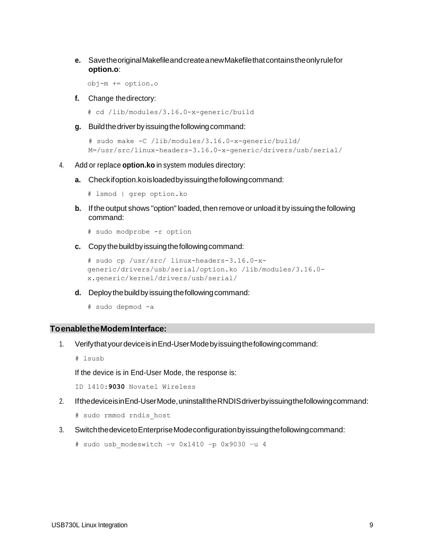**e.** SavetheoriginalMakefileandcreateanewMakefilethatcontainstheonlyrulefor **option.o**:

obj-m += option.o

**f.** Change thedirectory:

# cd /lib/modules/3.16.0-x-generic/build

**g.** Buildthedriverbyissuingthefollowingcommand:

```
# sudo make -C /lib/modules/3.16.0-x-generic/build/ 
M=/usr/src/linux-headers-3.16.0-x-generic/drivers/usb/serial/
```
- 4. Add or replace **option.ko** in system modules directory:
	- **a.** Checkifoption.koisloadedbyissuingthefollowingcommand:

```
# lsmod | grep option.ko
```
- **b.** If the output shows "option" loaded, then remove or unload it by issuing the following command:
	- # sudo modprobe -r option
- **c.** Copy the build by issuing the following command:

```
# sudo cp /usr/src/ linux-headers-3.16.0-x-
generic/drivers/usb/serial/option.ko /lib/modules/3.16.0-
x.generic/kernel/drivers/usb/serial/
```
**d.** Deploy the build by issuing the following command:

```
# sudo depmod -a
```
#### **ToenabletheModemInterface:**

- 1. VerifythatyourdeviceisinEnd-UserModebyissuingthefollowingcommand:
	- # lsusb

If the device is in End-User Mode, the response is:

ID 1410:**9030** Novatel Wireless

2. IfthedeviceisinEnd-UserMode,uninstalltheRNDISdriverbyissuingthefollowingcommand:

# sudo rmmod rndis\_host

3. SwitchthedevicetoEnterpriseModeconfigurationbyissuingthefollowingcommand:

```
# sudo usb_modeswitch –v 0x1410 –p 0x9030 –u 4
```